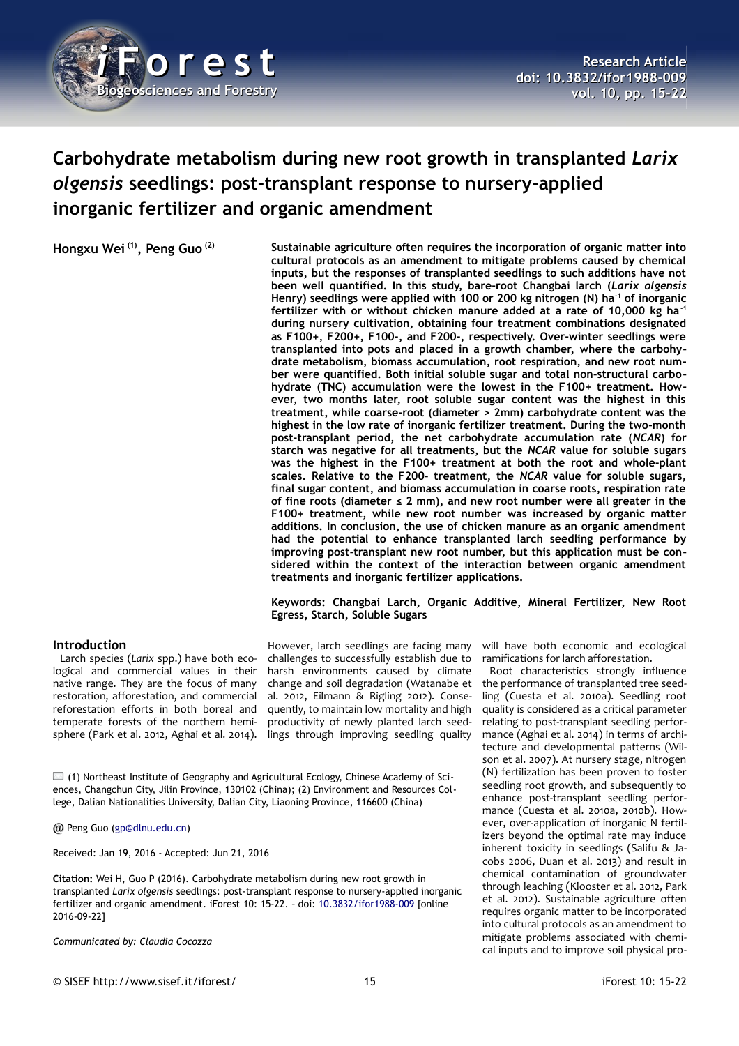

# **Carbohydrate metabolism during new root growth in transplanted** *Larix olgensis* **seedlings: post-transplant response to nursery-applied inorganic fertilizer and organic amendment**

**Hongxu Wei (1), Peng Guo (2) Sustainable agriculture often requires the incorporation of organic matter into cultural protocols as an amendment to mitigate problems caused by chemical inputs, but the responses of transplanted seedlings to such additions have not been well quantified. In this study, bare-root Changbai larch (***Larix olgensis* **Henry) seedlings were applied with 100 or 200 kg nitrogen (N) ha-1 of inorganic fertilizer with or without chicken manure added at a rate of 10,000 kg ha-1 during nursery cultivation, obtaining four treatment combinations designated as F100+, F200+, F100-, and F200-, respectively. Over-winter seedlings were transplanted into pots and placed in a growth chamber, where the carbohydrate metabolism, biomass accumulation, root respiration, and new root number were quantified. Both initial soluble sugar and total non-structural carbohydrate (TNC) accumulation were the lowest in the F100+ treatment. However, two months later, root soluble sugar content was the highest in this treatment, while coarse-root (diameter > 2mm) carbohydrate content was the highest in the low rate of inorganic fertilizer treatment. During the two-month post-transplant period, the net carbohydrate accumulation rate (***NCAR***) for starch was negative for all treatments, but the** *NCAR* **value for soluble sugars was the highest in the F100+ treatment at both the root and whole-plant scales. Relative to the F200- treatment, the** *NCAR* **value for soluble sugars, final sugar content, and biomass accumulation in coarse roots, respiration rate of fine roots (diameter ≤ 2 mm), and new root number were all greater in the F100+ treatment, while new root number was increased by organic matter additions. In conclusion, the use of chicken manure as an organic amendment had the potential to enhance transplanted larch seedling performance by improving post-transplant new root number, but this application must be considered within the context of the interaction between organic amendment treatments and inorganic fertilizer applications.**

## **Keywords: Changbai Larch, Organic Additive, Mineral Fertilizer, New Root Egress, Starch, Soluble Sugars**

## **Introduction**

Larch species (*Larix* spp.) have both ecological and commercial values in their native range. They are the focus of many restoration, afforestation, and commercial reforestation efforts in both boreal and temperate forests of the northern hemisphere (Park et al. 2012, Aghai et al. 2014).

However, larch seedlings are facing many challenges to successfully establish due to harsh environments caused by climate change and soil degradation (Watanabe et al. 2012, Eilmann & Rigling 2012). Consequently, to maintain low mortality and high productivity of newly planted larch seedlings through improving seedling quality

 $\Box$  (1) Northeast Institute of Geography and Agricultural Ecology, Chinese Academy of Sciences, Changchun City, Jilin Province, 130102 (China); (2) Environment and Resources College, Dalian Nationalities University, Dalian City, Liaoning Province, 116600 (China)

@ Peng Guo [\(gp@dlnu.edu.cn\)](mailto:gp@dlnu.edu.cn)

Received: Jan 19, 2016 - Accepted: Jun 21, 2016

**Citation:** Wei H, Guo P (2016). Carbohydrate metabolism during new root growth in transplanted *Larix olgensis* seedlings: post-transplant response to nursery-applied inorganic fertilizer and organic amendment. iForest 10: 15-22. – doi: [10.3832/ifor1988-009](http://www.sisef.it/iforest/contents/?id=ifor1988-009) [online 2016-09-22]

*Communicated by: Claudia Cocozza*

will have both economic and ecological ramifications for larch afforestation.

Root characteristics strongly influence the performance of transplanted tree seedling (Cuesta et al. 2010a). Seedling root quality is considered as a critical parameter relating to post-transplant seedling performance (Aghai et al. 2014) in terms of architecture and developmental patterns (Wilson et al. 2007). At nursery stage, nitrogen (N) fertilization has been proven to foster seedling root growth, and subsequently to enhance post-transplant seedling performance (Cuesta et al. 2010a, 2010b). However, over-application of inorganic N fertilizers beyond the optimal rate may induce inherent toxicity in seedlings (Salifu & Jacobs 2006, Duan et al. 2013) and result in chemical contamination of groundwater through leaching (Klooster et al. 2012, Park et al. 2012). Sustainable agriculture often requires organic matter to be incorporated into cultural protocols as an amendment to mitigate problems associated with chemical inputs and to improve soil physical pro-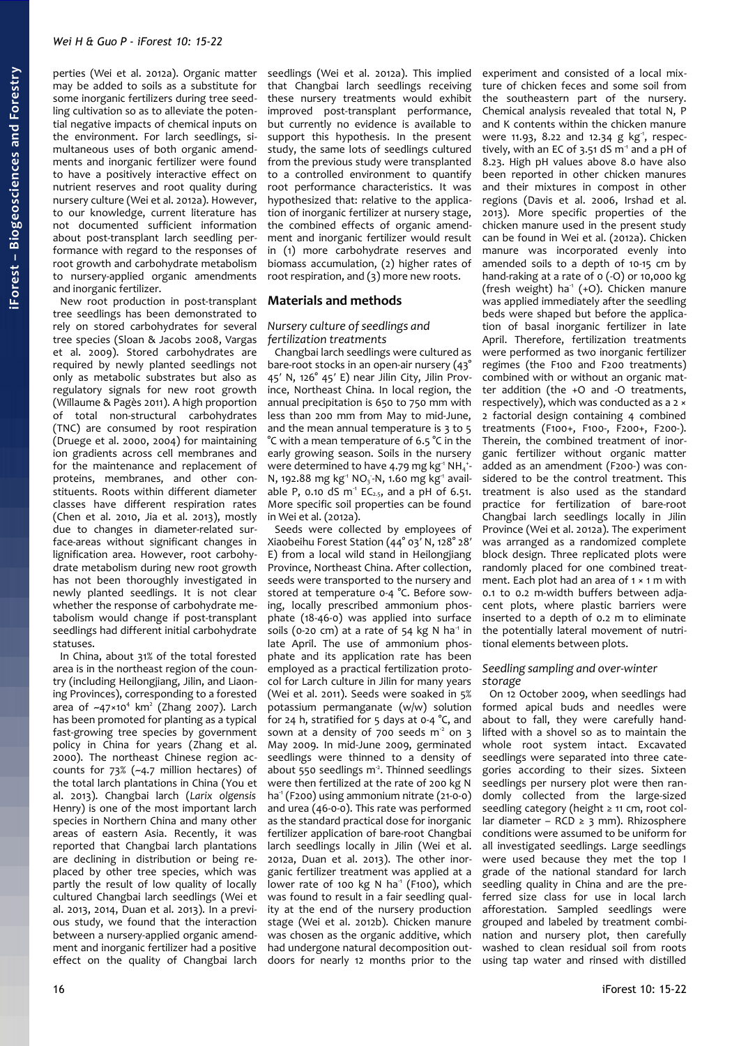perties (Wei et al. 2012a). Organic matter may be added to soils as a substitute for some inorganic fertilizers during tree seedling cultivation so as to alleviate the potential negative impacts of chemical inputs on the environment. For larch seedlings, simultaneous uses of both organic amendments and inorganic fertilizer were found to have a positively interactive effect on nutrient reserves and root quality during nursery culture (Wei et al. 2012a). However, to our knowledge, current literature has not documented sufficient information about post-transplant larch seedling performance with regard to the responses of root growth and carbohydrate metabolism to nursery-applied organic amendments and inorganic fertilizer.

New root production in post-transplant tree seedlings has been demonstrated to rely on stored carbohydrates for several tree species (Sloan & Jacobs 2008, Vargas et al. 2009). Stored carbohydrates are required by newly planted seedlings not only as metabolic substrates but also as regulatory signals for new root growth (Willaume & Pagès 2011). A high proportion of total non-structural carbohydrates (TNC) are consumed by root respiration (Druege et al. 2000, 2004) for maintaining ion gradients across cell membranes and for the maintenance and replacement of proteins, membranes, and other constituents. Roots within different diameter classes have different respiration rates (Chen et al. 2010, Jia et al. 2013), mostly due to changes in diameter-related surface-areas without significant changes in lignification area. However, root carbohydrate metabolism during new root growth has not been thoroughly investigated in newly planted seedlings. It is not clear whether the response of carbohydrate metabolism would change if post-transplant seedlings had different initial carbohydrate statuses.

In China, about 31% of the total forested area is in the northeast region of the country (including Heilongjiang, Jilin, and Liaoning Provinces), corresponding to a forested area of  $-47\times10^4$  km<sup>2</sup> (Zhang 2007). Larch has been promoted for planting as a typical fast-growing tree species by government policy in China for years (Zhang et al. 2000). The northeast Chinese region accounts for 73% (~4.7 million hectares) of the total larch plantations in China (You et al. 2013). Changbai larch (*Larix olgensis* Henry) is one of the most important larch species in Northern China and many other areas of eastern Asia. Recently, it was reported that Changbai larch plantations are declining in distribution or being replaced by other tree species, which was partly the result of low quality of locally cultured Changbai larch seedlings (Wei et al. 2013, 2014, Duan et al. 2013). In a previous study, we found that the interaction between a nursery-applied organic amendment and inorganic fertilizer had a positive effect on the quality of Changbai larch

seedlings (Wei et al. 2012a). This implied that Changbai larch seedlings receiving these nursery treatments would exhibit improved post-transplant performance, but currently no evidence is available to support this hypothesis. In the present study, the same lots of seedlings cultured from the previous study were transplanted to a controlled environment to quantify root performance characteristics. It was hypothesized that: relative to the application of inorganic fertilizer at nursery stage, the combined effects of organic amendment and inorganic fertilizer would result in (1) more carbohydrate reserves and biomass accumulation, (2) higher rates of root respiration, and (3) more new roots.

## **Materials and methods**

#### *Nursery culture of seedlings and fertilization treatments*

Changbai larch seedlings were cultured as bare-root stocks in an open-air nursery (43° 45′ N, 126° 45′ E) near Jilin City, Jilin Province, Northeast China. In local region, the annual precipitation is 650 to 750 mm with less than 200 mm from May to mid-June, and the mean annual temperature is 3 to 5 °C with a mean temperature of 6.5 °C in the early growing season. Soils in the nursery were determined to have 4.79 mg  $kg<sup>-1</sup> NH<sub>4</sub><sup>-1</sup>$ N, 192.88 mg kg<sup>-1</sup> NO<sub>3</sub>-N, 1.60 mg kg<sup>-1</sup> available P, 0.10 dS  $m<sup>-1</sup>$  EC<sub>2.5</sub>, and a pH of 6.51. More specific soil properties can be found in Wei et al. (2012a).

Seeds were collected by employees of Xiaobeihu Forest Station (44° 03′ N, 128° 28′ E) from a local wild stand in Heilongjiang Province, Northeast China. After collection, seeds were transported to the nursery and stored at temperature 0-4 °C. Before sowing, locally prescribed ammonium phosphate (18-46-0) was applied into surface soils (0-20 cm) at a rate of 54 kg N ha<sup>1</sup> in late April. The use of ammonium phosphate and its application rate has been employed as a practical fertilization protocol for Larch culture in Jilin for many years (Wei et al. 2011). Seeds were soaked in 5% potassium permanganate (w/w) solution for 24 h, stratified for 5 days at 0-4 °C, and sown at a density of 700 seeds  $m<sup>2</sup>$  on 3 May 2009. In mid-June 2009, germinated seedlings were thinned to a density of about  $550$  seedlings m<sup>2</sup>. Thinned seedlings were then fertilized at the rate of 200 kg N ha<sup>-1</sup> (F200) using ammonium nitrate (21-0-0) and urea (46-0-0). This rate was performed as the standard practical dose for inorganic fertilizer application of bare-root Changbai larch seedlings locally in Jilin (Wei et al. 2012a, Duan et al. 2013). The other inorganic fertilizer treatment was applied at a lower rate of 100 kg N ha<sup>1</sup> (F100), which was found to result in a fair seedling quality at the end of the nursery production stage (Wei et al. 2012b). Chicken manure was chosen as the organic additive, which had undergone natural decomposition outdoors for nearly 12 months prior to the

experiment and consisted of a local mixture of chicken feces and some soil from the southeastern part of the nursery. Chemical analysis revealed that total N, P and K contents within the chicken manure were 11.93, 8.22 and 12.34 g kg<sup>-1</sup>, respectively, with an EC of 3.51 dS  $m<sup>1</sup>$  and a pH of 8.23. High pH values above 8.0 have also been reported in other chicken manures and their mixtures in compost in other regions (Davis et al. 2006, Irshad et al. 2013). More specific properties of the chicken manure used in the present study can be found in Wei et al. (2012a). Chicken manure was incorporated evenly into amended soils to a depth of 10-15 cm by hand-raking at a rate of 0 (-O) or 10,000 kg (fresh weight) ha<sup>-1</sup> (+O). Chicken manure was applied immediately after the seedling beds were shaped but before the application of basal inorganic fertilizer in late April. Therefore, fertilization treatments were performed as two inorganic fertilizer regimes (the F100 and F200 treatments) combined with or without an organic matter addition (the +O and -O treatments, respectively), which was conducted as a 2 × 2 factorial design containing 4 combined treatments (F100+, F100-, F200+, F200-). Therein, the combined treatment of inorganic fertilizer without organic matter added as an amendment (F200-) was considered to be the control treatment. This treatment is also used as the standard practice for fertilization of bare-root Changbai larch seedlings locally in Jilin Province (Wei et al. 2012a). The experiment was arranged as a randomized complete block design. Three replicated plots were randomly placed for one combined treatment. Each plot had an area of  $1 \times 1$  m with 0.1 to 0.2 m-width buffers between adjacent plots, where plastic barriers were inserted to a depth of 0.2 m to eliminate the potentially lateral movement of nutritional elements between plots.

#### *Seedling sampling and over-winter storage*

On 12 October 2009, when seedlings had formed apical buds and needles were about to fall, they were carefully handlifted with a shovel so as to maintain the whole root system intact. Excavated seedlings were separated into three categories according to their sizes. Sixteen seedlings per nursery plot were then randomly collected from the large-sized seedling category (height ≥ 11 cm, root collar diameter – RCD ≥ 3 mm). Rhizosphere conditions were assumed to be uniform for all investigated seedlings. Large seedlings were used because they met the top I grade of the national standard for larch seedling quality in China and are the preferred size class for use in local larch afforestation. Sampled seedlings were grouped and labeled by treatment combination and nursery plot, then carefully washed to clean residual soil from roots using tap water and rinsed with distilled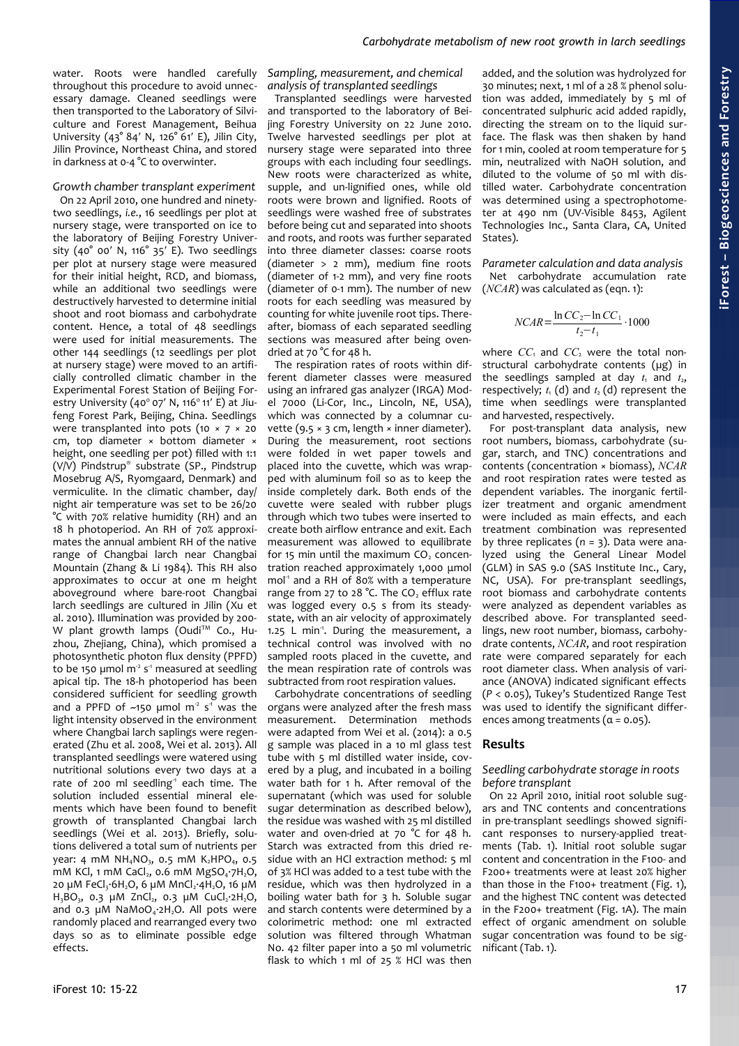water. Roots were handled carefully throughout this procedure to avoid unnecessary damage. Cleaned seedlings were then transported to the Laboratory of Silviculture and Forest Management, Beihua University (43° 84′ N, 126° 61′ E), Jilin City, Jilin Province, Northeast China, and stored in darkness at 0-4 °C to overwinter.

#### *Growth chamber transplant experiment*

On 22 April 2010, one hundred and ninetytwo seedlings, *i.e.*, 16 seedlings per plot at nursery stage, were transported on ice to the laboratory of Beijing Forestry University (40° 00′ N, 116° 35′ E). Two seedlings per plot at nursery stage were measured for their initial height, RCD, and biomass, while an additional two seedlings were destructively harvested to determine initial shoot and root biomass and carbohydrate content. Hence, a total of 48 seedlings were used for initial measurements. The other 144 seedlings (12 seedlings per plot at nursery stage) were moved to an artificially controlled climatic chamber in the Experimental Forest Station of Beijing Forestry University (40 $^{\circ}$  07' N, 116 $^{\circ}$  11' E) at Jiufeng Forest Park, Beijing, China. Seedlings were transplanted into pots (10  $\times$  7  $\times$  20 cm, top diameter × bottom diameter × height, one seedling per pot) filled with 1:1 (V/V) Pindstrup® substrate (SP., Pindstrup Mosebrug A/S, Ryomgaard, Denmark) and vermiculite. In the climatic chamber, day/ night air temperature was set to be 26/20 °C with 70% relative humidity (RH) and an 18 h photoperiod. An RH of 70% approximates the annual ambient RH of the native range of Changbai larch near Changbai Mountain (Zhang & Li 1984). This RH also approximates to occur at one m height aboveground where bare-root Changbai larch seedlings are cultured in Jilin (Xu et al. 2010). Illumination was provided by 200- W plant growth lamps (Oudi<sup>TM</sup> Co., Huzhou, Zhejiang, China), which promised a photosynthetic photon flux density (PPFD) to be 150 µmol  $m<sup>2</sup> s<sup>-1</sup>$  measured at seedling apical tip. The 18-h photoperiod has been considered sufficient for seedling growth and a PPFD of  $\sim$ 150 µmol m<sup>2</sup> s<sup>1</sup> was the light intensity observed in the environment where Changbai larch saplings were regenerated (Zhu et al. 2008, Wei et al. 2013). All transplanted seedlings were watered using nutritional solutions every two days at a rate of 200 ml seedling<sup>1</sup> each time. The solution included essential mineral elements which have been found to benefit growth of transplanted Changbai larch seedlings (Wei et al. 2013). Briefly, solutions delivered a total sum of nutrients per year: 4 mM NH<sub>4</sub>NO<sub>3</sub>, 0.5 mM K<sub>2</sub>HPO<sub>4</sub>, 0.5 mM KCl, 1 mM CaCl, 0.6 mM  $MgSO_4·7H_2O$ , 20  $\mu$ M FeCl<sub>3</sub>·6H<sub>2</sub>O, 6  $\mu$ M MnCl<sub>2</sub>·4H<sub>2</sub>O, 16  $\mu$ M  $H_3BO_3$ , 0.3  $\mu$ M ZnCl<sub>2</sub>, 0.3  $\mu$ M CuCl<sub>2</sub>·2H<sub>2</sub>O, and 0.3  $\mu$ M NaMoO<sub>4</sub>.2H<sub>2</sub>O. All pots were randomly placed and rearranged every two days so as to eliminate possible edge effects.

*Sampling, measurement, and chemical analysis of transplanted seedlings*

Transplanted seedlings were harvested and transported to the laboratory of Beijing Forestry University on 22 June 2010. Twelve harvested seedlings per plot at nursery stage were separated into three groups with each including four seedlings. New roots were characterized as white, supple, and un-lignified ones, while old roots were brown and lignified. Roots of seedlings were washed free of substrates before being cut and separated into shoots and roots, and roots was further separated into three diameter classes: coarse roots (diameter > 2 mm), medium fine roots (diameter of 1-2 mm), and very fine roots (diameter of 0-1 mm). The number of new roots for each seedling was measured by counting for white juvenile root tips. Thereafter, biomass of each separated seedling sections was measured after being ovendried at 70 °C for 48 h.

The respiration rates of roots within different diameter classes were measured using an infrared gas analyzer (IRGA) Model 7000 (Li-Cor, Inc., Lincoln, NE, USA), which was connected by a columnar cuvette (9.5  $\times$  3 cm, length  $\times$  inner diameter). During the measurement, root sections were folded in wet paper towels and placed into the cuvette, which was wrapped with aluminum foil so as to keep the inside completely dark. Both ends of the cuvette were sealed with rubber plugs through which two tubes were inserted to create both airflow entrance and exit. Each measurement was allowed to equilibrate for 15 min until the maximum  $CO<sub>2</sub>$  concentration reached approximately 1,000 μmol mol<sup>1</sup> and a RH of 80% with a temperature range from 27 to 28 °C. The CO<sub>2</sub> efflux rate was logged every 0.5 s from its steadystate, with an air velocity of approximately 1.25 L min<sup>-1</sup>. During the measurement, a technical control was involved with no sampled roots placed in the cuvette, and the mean respiration rate of controls was subtracted from root respiration values.

Carbohydrate concentrations of seedling organs were analyzed after the fresh mass measurement. Determination methods were adapted from Wei et al. (2014): a 0.5 g sample was placed in a 10 ml glass test tube with 5 ml distilled water inside, covered by a plug, and incubated in a boiling water bath for 1 h. After removal of the supernatant (which was used for soluble sugar determination as described below), the residue was washed with 25 ml distilled water and oven-dried at 70 °C for 48 h. Starch was extracted from this dried residue with an HCl extraction method: 5 ml of 3% HCl was added to a test tube with the residue, which was then hydrolyzed in a boiling water bath for 3 h. Soluble sugar and starch contents were determined by a colorimetric method: one ml extracted solution was filtered through Whatman No. 42 filter paper into a 50 ml volumetric flask to which 1 ml of 25  $%$  HCl was then

added, and the solution was hydrolyzed for 30 minutes; next, 1 ml of a 28 % phenol solution was added, immediately by 5 ml of concentrated sulphuric acid added rapidly, directing the stream on to the liquid surface. The flask was then shaken by hand for 1 min, cooled at room temperature for 5 min, neutralized with NaOH solution, and diluted to the volume of 50 ml with distilled water. Carbohydrate concentration was determined using a spectrophotometer at 490 nm (UV-Visible 8453, Agilent Technologies Inc., Santa Clara, CA, United States).

*Parameter calculation and data analysis* Net carbohydrate accumulation rate (*NCAR*) was calculated as (eqn. 1):

$$
NCAR = \frac{\ln CC_2 - \ln CC_1}{t_2 - t_1} \cdot 1000
$$

where  $CC_1$  and  $CC_2$  were the total nonstructural carbohydrate contents (*µ*g) in the seedlings sampled at day  $t_1$  and  $t_2$ , respectively;  $t_1$  (d) and  $t_2$  (d) represent the time when seedlings were transplanted and harvested, respectively.

For post-transplant data analysis, new root numbers, biomass, carbohydrate (sugar, starch, and TNC) concentrations and contents (concentration × biomass), *NCAR* and root respiration rates were tested as dependent variables. The inorganic fertilizer treatment and organic amendment were included as main effects, and each treatment combination was represented by three replicates (*n* = 3). Data were analyzed using the General Linear Model (GLM) in SAS 9.0 (SAS Institute Inc., Cary, NC, USA). For pre-transplant seedlings, root biomass and carbohydrate contents were analyzed as dependent variables as described above. For transplanted seedlings, new root number, biomass, carbohydrate contents, *NCAR*, and root respiration rate were compared separately for each root diameter class. When analysis of variance (ANOVA) indicated significant effects (*P* < 0.05), Tukey's Studentized Range Test was used to identify the significant differences among treatments  $(a = 0.05)$ .

# **Results**

#### *Seedling carbohydrate storage in roots before transplant*

On 22 April 2010, initial root soluble sugars and TNC contents and concentrations in pre-transplant seedlings showed significant responses to nursery-applied treatments [\(Tab. 1\)](#page-3-0). Initial root soluble sugar content and concentration in the F100- and F200+ treatments were at least 20% higher than those in the F100+ treatment [\(Fig. 1\)](#page-3-1), and the highest TNC content was detected in the F200+ treatment [\(Fig. 1A](#page-3-1)). The main effect of organic amendment on soluble sugar concentration was found to be significant [\(Tab. 1\)](#page-3-0).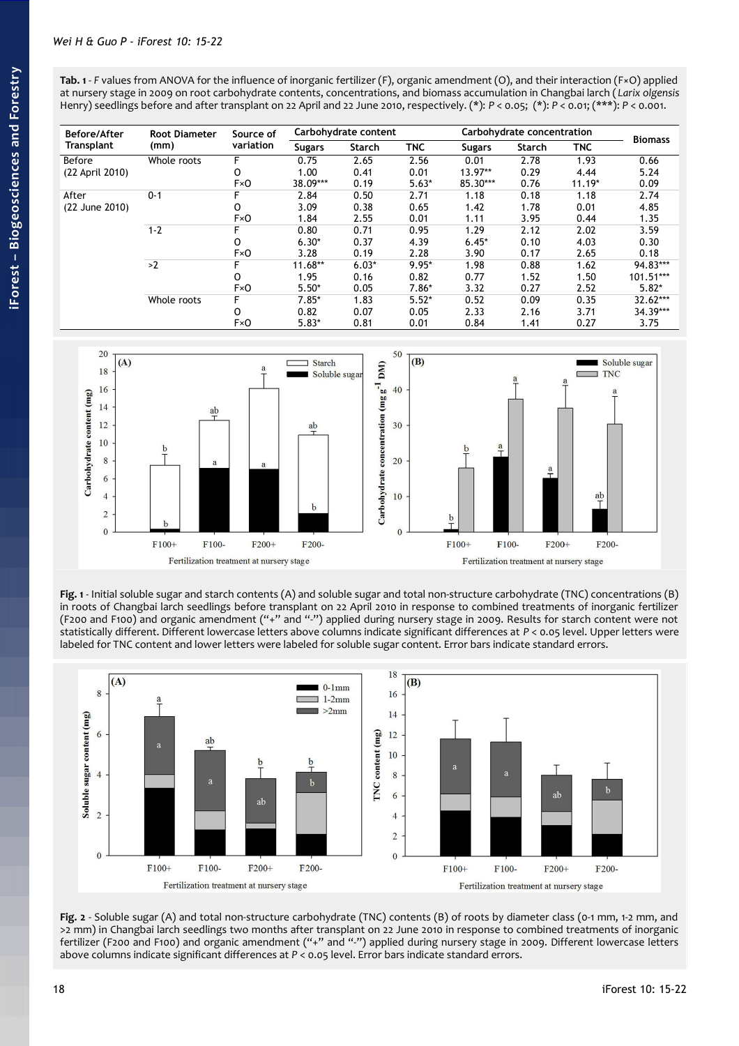<span id="page-3-0"></span>**Tab. 1** - *F* values from ANOVA for the influence of inorganic fertilizer (F), organic amendment (O), and their interaction (F×O) applied at nursery stage in 2009 on root carbohydrate contents, concentrations, and biomass accumulation in Changbai larch ( *Larix olgensis* Henry) seedlings before and after transplant on 22 April and 22 June 2010, respectively. (\*): *P* < 0.05; (\*): *P* < 0.01; (\*\*\*): *P* < 0.001.

| <b>Before/After</b> | <b>Root Diameter</b> | Source of |               | Carbohydrate content |            |               | Carbohydrate concentration |            | <b>Biomass</b>      |
|---------------------|----------------------|-----------|---------------|----------------------|------------|---------------|----------------------------|------------|---------------------|
| Transplant          | (mm)                 | variation | <b>Sugars</b> | Starch               | <b>TNC</b> | <b>Sugars</b> | <b>Starch</b>              | <b>TNC</b> |                     |
| Before              | Whole roots          | F         | 0.75          | 2.65                 | 2.56       | 0.01          | 2.78                       | 1.93       | 0.66                |
| (22 April 2010)     |                      | 0         | 1.00          | 0.41                 | 0.01       | 13.97**       | 0.29                       | 4.44       | 5.24                |
|                     |                      | F×0       | 38.09***      | 0.19                 | $5.63*$    | 85.30***      | 0.76                       | $11.19*$   | 0.09                |
| After               | $0 - 1$              |           | 2.84          | 0.50                 | 2.71       | 1.18          | 0.18                       | 1.18       | 2.74                |
| (22 June 2010)      |                      | O         | 3.09          | 0.38                 | 0.65       | 1.42          | 1.78                       | 0.01       | 4.85                |
|                     |                      | F×0       | 1.84          | 2.55                 | 0.01       | 1.11          | 3.95                       | 0.44       | 1.35                |
|                     | $1 - 2$              |           | 0.80          | 0.71                 | 0.95       | 1.29          | 2.12                       | 2.02       | 3.59                |
|                     |                      | O         | $6.30*$       | 0.37                 | 4.39       | $6.45*$       | 0.10                       | 4.03       | 0.30                |
|                     |                      | F×0       | 3.28          | 0.19                 | 2.28       | 3.90          | 0.17                       | 2.65       | 0.18                |
|                     | >2                   |           | $11.68**$     | $6.03*$              | $9.95*$    | 1.98          | 0.88                       | 1.62       | 94.83***            |
|                     |                      | O         | 1.95          | 0.16                 | 0.82       | 0.77          | 1.52                       | 1.50       | 101.51***           |
|                     |                      | FxO       | $5.50*$       | 0.05                 | 7.86*      | 3.32          | 0.27                       | 2.52       | $5.82*$<br>32.62*** |
|                     | Whole roots          | F         | $7.85*$       | 1.83                 | $5.52*$    | 0.52          | 0.09                       | 0.35       |                     |
|                     |                      | 0         | 0.82          | 0.07                 | 0.05       | 2.33          | 2.16                       | 3.71       | 34.39***            |
|                     |                      | F×0       | $5.83*$       | 0.81                 | 0.01       | 0.84          | 1.41                       | 0.27       | 3.75                |



<span id="page-3-1"></span>**Fig. 1** - Initial soluble sugar and starch contents (A) and soluble sugar and total non-structure carbohydrate (TNC) concentrations (B) in roots of Changbai larch seedlings before transplant on 22 April 2010 in response to combined treatments of inorganic fertilizer (F200 and F100) and organic amendment ("+" and "-") applied during nursery stage in 2009. Results for starch content were not statistically different. Different lowercase letters above columns indicate significant differences at *P* < 0.05 level. Upper letters were labeled for TNC content and lower letters were labeled for soluble sugar content. Error bars indicate standard errors.



<span id="page-3-2"></span>**Fig. 2** - Soluble sugar (A) and total non-structure carbohydrate (TNC) contents (B) of roots by diameter class (0-1 mm, 1-2 mm, and >2 mm) in Changbai larch seedlings two months after transplant on 22 June 2010 in response to combined treatments of inorganic fertilizer (F200 and F100) and organic amendment ("+" and "-") applied during nursery stage in 2009. Different lowercase letters above columns indicate significant differences at *P* < 0.05 level. Error bars indicate standard errors.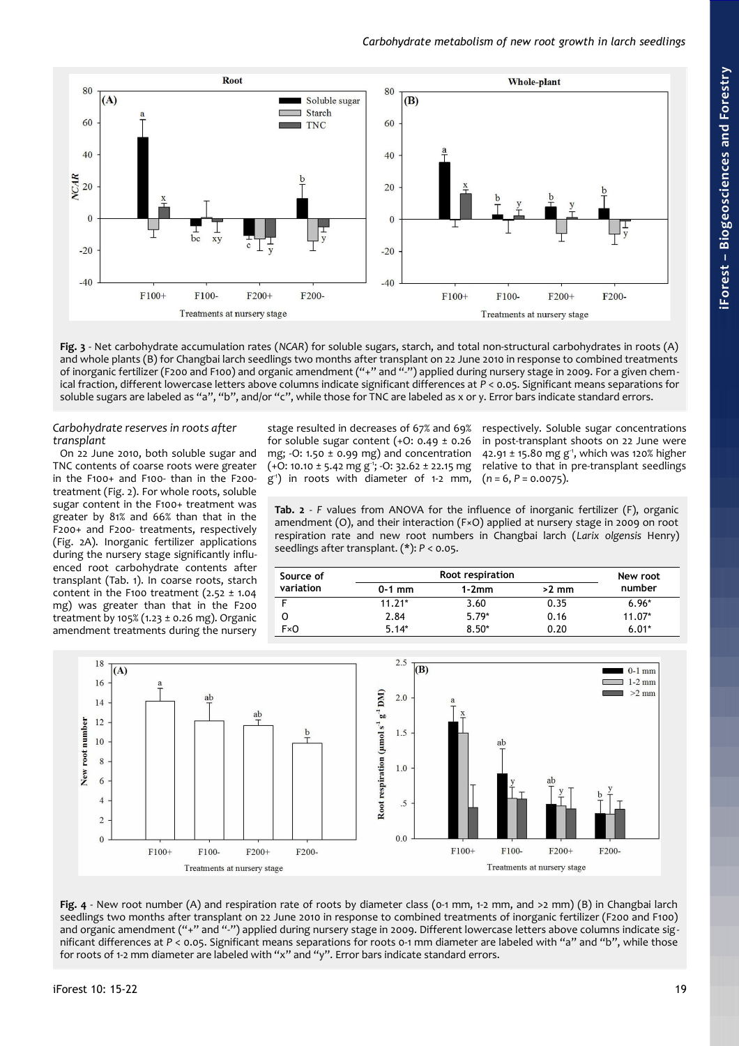

<span id="page-4-2"></span>**Fig. 3** - Net carbohydrate accumulation rates (*NCAR*) for soluble sugars, starch, and total non-structural carbohydrates in roots (A) and whole plants (B) for Changbai larch seedlings two months after transplant on 22 June 2010 in response to combined treatments of inorganic fertilizer (F200 and F100) and organic amendment ("+" and "-") applied during nursery stage in 2009. For a given chemical fraction, different lowercase letters above columns indicate significant differences at *P* < 0.05. Significant means separations for soluble sugars are labeled as "a", "b", and/or "c", while those for TNC are labeled as x or y. Error bars indicate standard errors.

*Carbohydrate reserves in roots after transplant*

On 22 June 2010, both soluble sugar and TNC contents of coarse roots were greater in the F100+ and F100- than in the F200 treatment [\(Fig. 2\)](#page-3-2). For whole roots, soluble sugar content in the F100+ treatment was greater by 81% and 66% than that in the F200+ and F200- treatments, respectively [\(Fig. 2A](#page-3-2)). Inorganic fertilizer applications during the nursery stage significantly influenced root carbohydrate contents after transplant [\(Tab. 1\)](#page-3-0). In coarse roots, starch content in the F100 treatment  $(2.52 \pm 1.04)$ mg) was greater than that in the F200 treatment by 105% (1.23 ± 0.26 mg). Organic amendment treatments during the nursery

stage resulted in decreases of 67% and 69% for soluble sugar content  $(+0: 0.49 \pm 0.26)$ mg;  $-0$ : 1.50  $\pm$  0.99 mg) and concentration  $(+0: 10.10 \pm 5.42 \text{ mg g}^3; -0: 32.62 \pm 22.15 \text{ mg}$ g -1) in roots with diameter of 1-2 mm,

respectively. Soluble sugar concentrations in post-transplant shoots on 22 June were 42.91 ± 15.80 mg  $g<sup>-1</sup>$ , which was 120% higher relative to that in pre-transplant seedlings  $(n = 6, P = 0.0075)$ .

<span id="page-4-1"></span>**Tab. 2** - *F* values from ANOVA for the influence of inorganic fertilizer (F), organic amendment (O), and their interaction (F×O) applied at nursery stage in 2009 on root respiration rate and new root numbers in Changbai larch (*Larix olgensis* Henry) seedlings after transplant. (\*): *P* < 0.05.

| Source of |          | New root |         |          |
|-----------|----------|----------|---------|----------|
| variation | $0-1$ mm | $1-2mm$  | $>2$ mm | number   |
|           | $11.21*$ | 3.60     | 0.35    | $6.96*$  |
| Ő         | 2.84     | $5.79*$  | 0.16    | $11.07*$ |
| F×0       | $5.14*$  | $8.50*$  | 0.20    | $6.01*$  |



<span id="page-4-0"></span>**Fig. 4** - New root number (A) and respiration rate of roots by diameter class (0-1 mm, 1-2 mm, and >2 mm) (B) in Changbai larch seedlings two months after transplant on 22 June 2010 in response to combined treatments of inorganic fertilizer (F200 and F100) and organic amendment ("+" and "-") applied during nursery stage in 2009. Different lowercase letters above columns indicate significant differences at *P* < 0.05. Significant means separations for roots 0-1 mm diameter are labeled with "a" and "b", while those for roots of 1-2 mm diameter are labeled with "x" and "y". Error bars indicate standard errors.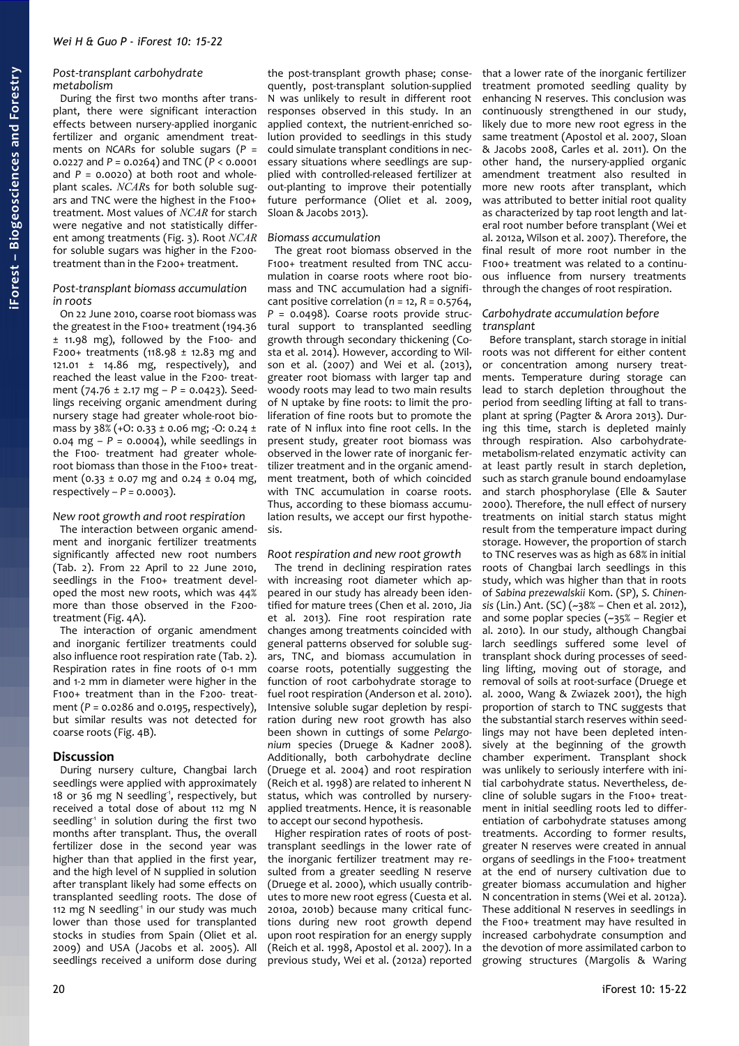#### *Post-transplant carbohydrate metabolism*

During the first two months after transplant, there were significant interaction effects between nursery-applied inorganic fertilizer and organic amendment treatments on *NCAR*s for soluble sugars (*P* = 0.0227 and *P* = 0.0264) and TNC (*P* < 0.0001 and  $P = 0.0020$  at both root and wholeplant scales. *NCAR*s for both soluble sugars and TNC were the highest in the F100+ treatment. Most values of *NCAR* for starch were negative and not statistically different among treatments [\(Fig. 3\)](#page-4-2). Root *NCAR* for soluble sugars was higher in the F200 treatment than in the F200+ treatment.

#### *Post-transplant biomass accumulation in roots*

On 22 June 2010, coarse root biomass was the greatest in the F100+ treatment (194.36 ± 11.98 mg), followed by the F100- and F200+ treatments (118.98  $\pm$  12.83 mg and 121.01 ± 14.86 mg, respectively), and reached the least value in the F200- treatment (74.76 ± 2.17 mg – *P* = 0.0423). Seedlings receiving organic amendment during nursery stage had greater whole-root biomass by 38% (+0:  $0.33 \pm 0.06$  mg; -0:  $0.24 \pm$ 0.04 mg – *P* = 0.0004), while seedlings in the F100- treatment had greater wholeroot biomass than those in the F100+ treatment (0.33 ± 0.07 mg and 0.24 ± 0.04 mg, respectively  $-P = 0.0003$ ).

## *New root growth and root respiration*

The interaction between organic amendment and inorganic fertilizer treatments significantly affected new root numbers [\(Tab. 2\)](#page-4-1). From 22 April to 22 June 2010, seedlings in the F100+ treatment developed the most new roots, which was 44% more than those observed in the F200 treatment [\(Fig. 4A](#page-4-0)).

The interaction of organic amendment and inorganic fertilizer treatments could also influence root respiration rate [\(Tab. 2\)](#page-4-1). Respiration rates in fine roots of 0-1 mm and 1-2 mm in diameter were higher in the F100+ treatment than in the F200- treatment (*P* = 0.0286 and 0.0195, respectively), but similar results was not detected for coarse roots [\(Fig. 4B](#page-4-0)).

# **Discussion**

During nursery culture, Changbai larch seedlings were applied with approximately 18 or 36 mg N seedling<sup>1</sup>, respectively, but received a total dose of about 112 mg N seedling<sup>1</sup> in solution during the first two months after transplant. Thus, the overall fertilizer dose in the second year was higher than that applied in the first year, and the high level of N supplied in solution after transplant likely had some effects on transplanted seedling roots. The dose of 112 mg N seedling<sup>1</sup> in our study was much lower than those used for transplanted stocks in studies from Spain (Oliet et al. 2009) and USA (Jacobs et al. 2005). All seedlings received a uniform dose during

the post-transplant growth phase; consequently, post-transplant solution-supplied N was unlikely to result in different root responses observed in this study. In an applied context, the nutrient-enriched solution provided to seedlings in this study could simulate transplant conditions in necessary situations where seedlings are supplied with controlled-released fertilizer at out-planting to improve their potentially future performance (Oliet et al. 2009, Sloan & Jacobs 2013).

## *Biomass accumulation*

The great root biomass observed in the F100+ treatment resulted from TNC accumulation in coarse roots where root biomass and TNC accumulation had a significant positive correlation (*n* = 12, *R* = 0.5764, *P* = 0.0498). Coarse roots provide structural support to transplanted seedling growth through secondary thickening (Costa et al. 2014). However, according to Wilson et al. (2007) and Wei et al. (2013), greater root biomass with larger tap and woody roots may lead to two main results of N uptake by fine roots: to limit the proliferation of fine roots but to promote the rate of N influx into fine root cells. In the present study, greater root biomass was observed in the lower rate of inorganic fertilizer treatment and in the organic amendment treatment, both of which coincided with TNC accumulation in coarse roots. Thus, according to these biomass accumulation results, we accept our first hypothesis.

# *Root respiration and new root growth*

The trend in declining respiration rates with increasing root diameter which appeared in our study has already been identified for mature trees (Chen et al. 2010, Jia et al. 2013). Fine root respiration rate changes among treatments coincided with general patterns observed for soluble sugars, TNC, and biomass accumulation in coarse roots, potentially suggesting the function of root carbohydrate storage to fuel root respiration (Anderson et al. 2010). Intensive soluble sugar depletion by respiration during new root growth has also been shown in cuttings of some *Pelargonium* species (Druege & Kadner 2008). Additionally, both carbohydrate decline (Druege et al. 2004) and root respiration (Reich et al. 1998) are related to inherent N status, which was controlled by nurseryapplied treatments. Hence, it is reasonable to accept our second hypothesis.

Higher respiration rates of roots of posttransplant seedlings in the lower rate of the inorganic fertilizer treatment may resulted from a greater seedling N reserve (Druege et al. 2000), which usually contributes to more new root egress (Cuesta et al. 2010a, 2010b) because many critical functions during new root growth depend upon root respiration for an energy supply (Reich et al. 1998, Apostol et al. 2007). In a previous study, Wei et al. (2012a) reported

that a lower rate of the inorganic fertilizer treatment promoted seedling quality by enhancing N reserves. This conclusion was continuously strengthened in our study, likely due to more new root egress in the same treatment (Apostol et al. 2007, Sloan & Jacobs 2008, Carles et al. 2011). On the other hand, the nursery-applied organic amendment treatment also resulted in more new roots after transplant, which was attributed to better initial root quality as characterized by tap root length and lateral root number before transplant (Wei et al. 2012a, Wilson et al. 2007). Therefore, the final result of more root number in the F100+ treatment was related to a continuous influence from nursery treatments through the changes of root respiration.

## *Carbohydrate accumulation before transplant*

Before transplant, starch storage in initial roots was not different for either content or concentration among nursery treatments. Temperature during storage can lead to starch depletion throughout the period from seedling lifting at fall to transplant at spring (Pagter & Arora 2013). During this time, starch is depleted mainly through respiration. Also carbohydratemetabolism-related enzymatic activity can at least partly result in starch depletion, such as starch granule bound endoamylase and starch phosphorylase (Elle & Sauter 2000). Therefore, the null effect of nursery treatments on initial starch status might result from the temperature impact during storage. However, the proportion of starch to TNC reserves was as high as 68% in initial roots of Changbai larch seedlings in this study, which was higher than that in roots of *Sabina prezewalskii* Kom. (SP), *S. Chinensis* (Lin.) Ant. (SC) (~38% – Chen et al. 2012), and some poplar species (~35% – Regier et al. 2010). In our study, although Changbai larch seedlings suffered some level of transplant shock during processes of seedling lifting, moving out of storage, and removal of soils at root-surface (Druege et al. 2000, Wang & Zwiazek 2001), the high proportion of starch to TNC suggests that the substantial starch reserves within seedlings may not have been depleted intensively at the beginning of the growth chamber experiment. Transplant shock was unlikely to seriously interfere with initial carbohydrate status. Nevertheless, decline of soluble sugars in the F100+ treatment in initial seedling roots led to differentiation of carbohydrate statuses among treatments. According to former results, greater N reserves were created in annual organs of seedlings in the F100+ treatment at the end of nursery cultivation due to greater biomass accumulation and higher N concentration in stems (Wei et al. 2012a). These additional N reserves in seedlings in the F100+ treatment may have resulted in increased carbohydrate consumption and the devotion of more assimilated carbon to growing structures (Margolis & Waring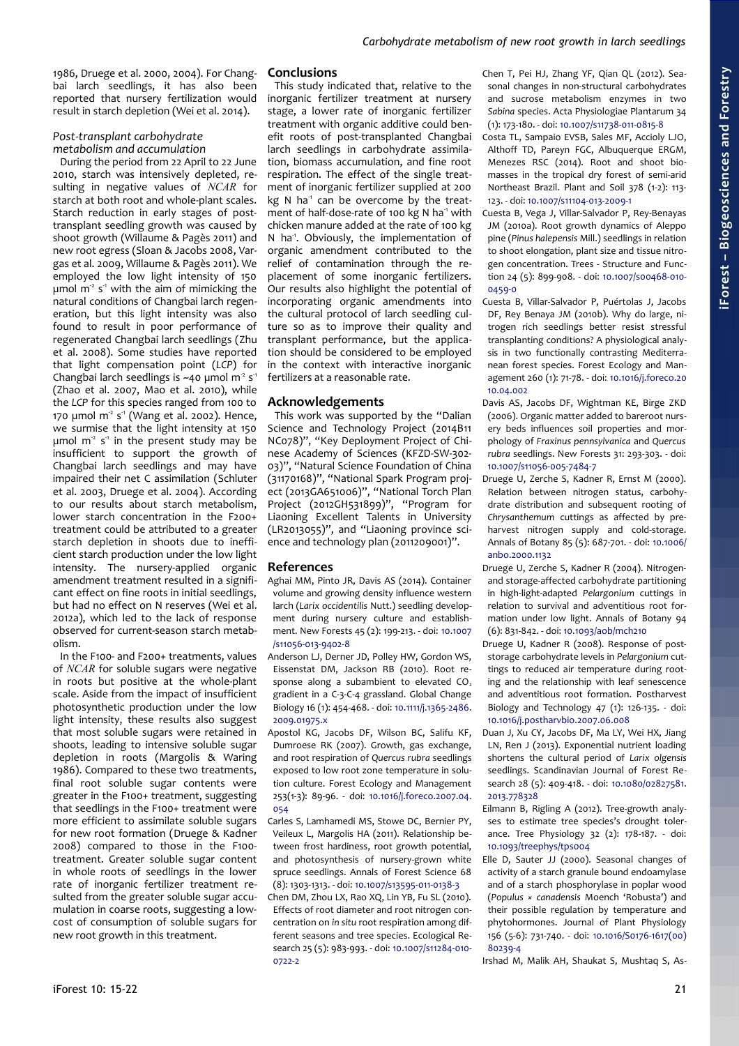1986, Druege et al. 2000, 2004). For Changbai larch seedlings, it has also been reported that nursery fertilization would result in starch depletion (Wei et al. 2014).

## *Post-transplant carbohydrate metabolism and accumulation*

During the period from 22 April to 22 June 2010, starch was intensively depleted, resulting in negative values of *NCAR* for starch at both root and whole-plant scales. Starch reduction in early stages of posttransplant seedling growth was caused by shoot growth (Willaume & Pagès 2011) and new root egress (Sloan & Jacobs 2008, Vargas et al. 2009, Willaume & Pagès 2011). We employed the low light intensity of 150 umol  $m^2 s^4$  with the aim of mimicking the natural conditions of Changbai larch regeneration, but this light intensity was also found to result in poor performance of regenerated Changbai larch seedlings (Zhu et al. 2008). Some studies have reported that light compensation point (*LCP*) for Changbai larch seedlings is ~40 µmol  $m^2 s^1$ (Zhao et al. 2007, Mao et al. 2010), while the *LCP* for this species ranged from 100 to 170  $\mu$ mol m<sup>2</sup> s<sup>1</sup> (Wang et al. 2002). Hence, we surmise that the light intensity at 150  $\mu$ mol m<sup>2</sup> s<sup>-1</sup> in the present study may be insufficient to support the growth of Changbai larch seedlings and may have impaired their net C assimilation (Schluter et al. 2003, Druege et al. 2004). According to our results about starch metabolism, lower starch concentration in the F200+ treatment could be attributed to a greater starch depletion in shoots due to inefficient starch production under the low light intensity. The nursery-applied organic amendment treatment resulted in a significant effect on fine roots in initial seedlings, but had no effect on N reserves (Wei et al. 2012a), which led to the lack of response observed for current-season starch metabolism.

In the F100- and F200+ treatments, values of *NCAR* for soluble sugars were negative in roots but positive at the whole-plant scale. Aside from the impact of insufficient photosynthetic production under the low light intensity, these results also suggest that most soluble sugars were retained in shoots, leading to intensive soluble sugar depletion in roots (Margolis & Waring 1986). Compared to these two treatments, final root soluble sugar contents were greater in the F100+ treatment, suggesting that seedlings in the F100+ treatment were more efficient to assimilate soluble sugars for new root formation (Druege & Kadner 2008) compared to those in the F100 treatment. Greater soluble sugar content in whole roots of seedlings in the lower rate of inorganic fertilizer treatment resulted from the greater soluble sugar accumulation in coarse roots, suggesting a lowcost of consumption of soluble sugars for new root growth in this treatment.

## **Conclusions**

This study indicated that, relative to the inorganic fertilizer treatment at nursery stage, a lower rate of inorganic fertilizer treatment with organic additive could benefit roots of post-transplanted Changbai larch seedlings in carbohydrate assimilation, biomass accumulation, and fine root respiration. The effect of the single treatment of inorganic fertilizer supplied at 200 kg N ha $<sup>1</sup>$  can be overcome by the treat-</sup> ment of half-dose-rate of 100 kg N ha<sup>1</sup> with chicken manure added at the rate of 100 kg N ha<sup>-1</sup>. Obviously, the implementation of organic amendment contributed to the relief of contamination through the replacement of some inorganic fertilizers. Our results also highlight the potential of incorporating organic amendments into the cultural protocol of larch seedling culture so as to improve their quality and transplant performance, but the application should be considered to be employed in the context with interactive inorganic fertilizers at a reasonable rate.

## **Acknowledgements**

This work was supported by the "Dalian Science and Technology Project (2014B11 NC078)", "Key Deployment Project of Chinese Academy of Sciences (KFZD-SW-302- 03)", "Natural Science Foundation of China (31170168)", "National Spark Program project (2013GA651006)", "National Torch Plan Project (2012GH531899)", "Program for Liaoning Excellent Talents in University (LR2013055)", and "Liaoning province science and technology plan (2011209001)".

## **References**

- Aghai MM, Pinto JR, Davis AS (2014). Container volume and growing density influence western larch (*Larix occidentilis* Nutt.) seedling development during nursery culture and establishment. New Forests 45 (2): 199-213. - doi: [10.1007](http://dx.doi.org/10.1007/s11056-013-9402-8) [/s11056-013-9402-8](http://dx.doi.org/10.1007/s11056-013-9402-8)
- Anderson LJ, Derner JD, Polley HW, Gordon WS, Eissenstat DM, Jackson RB (2010). Root response along a subambient to elevated  $CO<sub>2</sub>$ gradient in a C-3-C-4 grassland. Global Change Biology 16 (1): 454-468. - doi: [10.1111/j.1365-2486.](http://dx.doi.org/10.1111/j.1365-2486.2009.01975.x) [2009.01975.x](http://dx.doi.org/10.1111/j.1365-2486.2009.01975.x)
- Apostol KG, Jacobs DF, Wilson BC, Salifu KF, Dumroese RK (2007). Growth, gas exchange, and root respiration of *Quercus rubra* seedlings exposed to low root zone temperature in solution culture. Forest Ecology and Management 253(1-3): 89-96. - doi: [10.1016/j.foreco.2007.04.](http://dx.doi.org/10.1016/j.foreco.2007.04.054) [054](http://dx.doi.org/10.1016/j.foreco.2007.04.054)
- Carles S, Lamhamedi MS, Stowe DC, Bernier PY, Veileux L, Margolis HA (2011). Relationship between frost hardiness, root growth potential, and photosynthesis of nursery-grown white spruce seedlings. Annals of Forest Science 68 (8): 1303-1313. - doi: [10.1007/s13595-011-0138-3](http://dx.doi.org/10.1007/s13595-011-0138-3)
- Chen DM, Zhou LX, Rao XQ, Lin YB, Fu SL (2010). Effects of root diameter and root nitrogen concentration on *in situ* root respiration among different seasons and tree species. Ecological Research 25 (5): 983-993. - doi: [10.1007/s11284-010-](http://dx.doi.org/10.1007/s11284-010-0722-2) [0722-2](http://dx.doi.org/10.1007/s11284-010-0722-2)

Chen T, Pei HJ, Zhang YF, Qian QL (2012). Seasonal changes in non-structural carbohydrates and sucrose metabolism enzymes in two *Sabina* species. Acta Physiologiae Plantarum 34 (1): 173-180. - doi: [10.1007/s11738-011-0815-8](http://dx.doi.org/10.1007/s11738-011-0815-8)

- Costa TL, Sampaio EVSB, Sales MF, Accioly LJO, Althoff TD, Pareyn FGC, Albuquerque ERGM, Menezes RSC (2014). Root and shoot biomasses in the tropical dry forest of semi-arid Northeast Brazil. Plant and Soil 378 (1-2): 113- 123. - doi: [10.1007/s11104-013-2009-1](http://dx.doi.org/10.1007/s11104-013-2009-1)
- Cuesta B, Vega J, Villar-Salvador P, Rey-Benayas JM (2010a). Root growth dynamics of Aleppo pine (*Pinus halepensis* Mill.) seedlings in relation to shoot elongation, plant size and tissue nitrogen concentration. Trees - Structure and Function 24 (5): 899-908. - doi: [10.1007/s00468-010-](http://dx.doi.org/10.1007/s00468-010-0459-0) [0459-0](http://dx.doi.org/10.1007/s00468-010-0459-0)
- Cuesta B, Villar-Salvador P, Puértolas J, Jacobs DF, Rey Benaya JM (2010b). Why do large, nitrogen rich seedlings better resist stressful transplanting conditions? A physiological analysis in two functionally contrasting Mediterranean forest species. Forest Ecology and Management 260 (1): 71-78. - doi: [10.1016/j.foreco.20](http://dx.doi.org/10.1016/j.foreco.2010.04.002) [10.04.002](http://dx.doi.org/10.1016/j.foreco.2010.04.002)
- Davis AS, Jacobs DF, Wightman KE, Birge ZKD (2006). Organic matter added to bareroot nursery beds influences soil properties and morphology of *Fraxinus pennsylvanica* and *Quercus rubra* seedlings. New Forests 31: 293-303. - doi: [10.1007/s11056-005-7484-7](http://dx.doi.org/10.1007/s11056-005-7484-7)
- Druege U, Zerche S, Kadner R, Ernst M (2000). Relation between nitrogen status, carbohydrate distribution and subsequent rooting of *Chrysanthemum* cuttings as affected by preharvest nitrogen supply and cold-storage. Annals of Botany 85 (5): 687-701. - doi: [10.1006/](http://dx.doi.org/10.1006/anbo.2000.1132) [anbo.2000.1132](http://dx.doi.org/10.1006/anbo.2000.1132)
- Druege U, Zerche S, Kadner R (2004). Nitrogenand storage-affected carbohydrate partitioning in high-light-adapted *Pelargonium* cuttings in relation to survival and adventitious root formation under low light. Annals of Botany 94 (6): 831-842. - doi: [10.1093/aob/mch210](http://dx.doi.org/10.1093/aob/mch210)
- Druege U, Kadner R (2008). Response of poststorage carbohydrate levels in *Pelargonium* cuttings to reduced air temperature during rooting and the relationship with leaf senescence and adventitious root formation. Postharvest Biology and Technology 47 (1): 126-135. - doi: [10.1016/j.postharvbio.2007.06.008](http://dx.doi.org/10.1016/j.postharvbio.2007.06.008)
- Duan J, Xu CY, Jacobs DF, Ma LY, Wei HX, Jiang LN, Ren J (2013). Exponential nutrient loading shortens the cultural period of *Larix olgensis* seedlings. Scandinavian Journal of Forest Research 28 (5): 409-418. - doi: [10.1080/02827581.](http://dx.doi.org/10.1080/02827581.2013.778328) [2013.778328](http://dx.doi.org/10.1080/02827581.2013.778328)
- Eilmann B, Rigling A (2012). Tree-growth analyses to estimate tree species's drought tolerance. Tree Physiology 32 (2): 178-187. - doi: [10.1093/treephys/tps004](http://dx.doi.org/10.1093/treephys/tps004)
- Elle D, Sauter JJ (2000). Seasonal changes of activity of a starch granule bound endoamylase and of a starch phosphorylase in poplar wood (*Populus × canadensis* Moench 'Robusta') and their possible regulation by temperature and phytohormones. Journal of Plant Physiology 156 (5-6): 731-740. - doi: [10.1016/S0176-1617\(00\)](http://dx.doi.org/10.1016/S0176-1617(00)80239-4) [80239-4](http://dx.doi.org/10.1016/S0176-1617(00)80239-4)

Irshad M, Malik AH, Shaukat S, Mushtaq S, As-